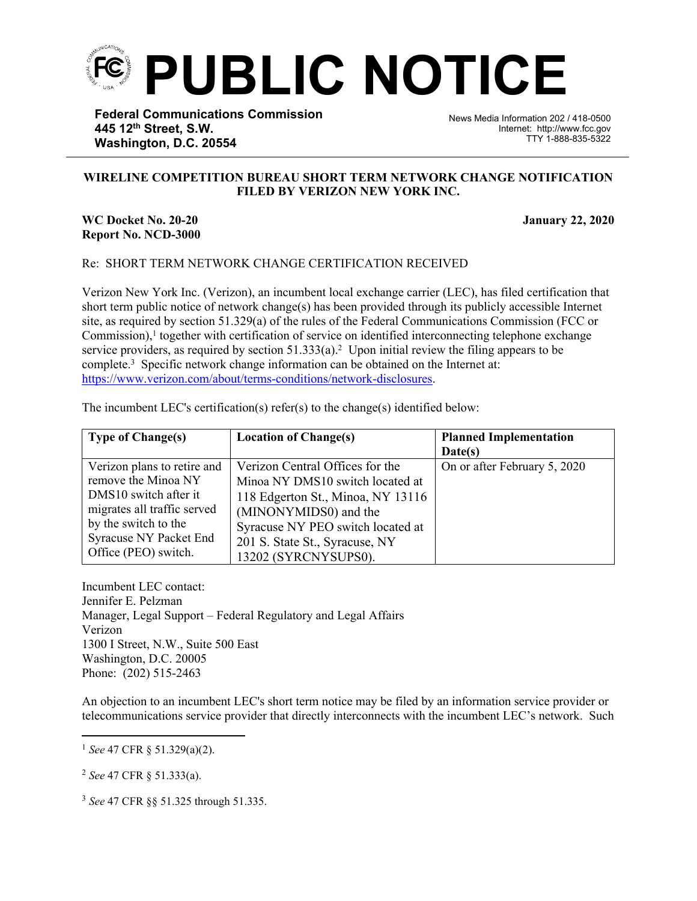

**Federal Communications Commission 445 12th Street, S.W. Washington, D.C. 20554**

News Media Information 202 / 418-0500 Internet: http://www.fcc.gov TTY 1-888-835-5322

## **WIRELINE COMPETITION BUREAU SHORT TERM NETWORK CHANGE NOTIFICATION FILED BY VERIZON NEW YORK INC.**

֡֡֡

## **WC Docket No. 20-20 January 22, 2020 Report No. NCD-3000**

## Re: SHORT TERM NETWORK CHANGE CERTIFICATION RECEIVED

Verizon New York Inc. (Verizon), an incumbent local exchange carrier (LEC), has filed certification that short term public notice of network change(s) has been provided through its publicly accessible Internet site, as required by section 51.329(a) of the rules of the Federal Communications Commission (FCC or Commission),<sup>1</sup> together with certification of service on identified interconnecting telephone exchange service providers, as required by section  $51.333(a)$ .<sup>2</sup> Upon initial review the filing appears to be complete.<sup>3</sup> Specific network change information can be obtained on the Internet at: [https://www.verizon.com/about/terms-conditions/network-disclosures.](https://www.verizon.com/about/terms-conditions/network-disclosures)

| The incumbent LEC's certification(s) refer(s) to the change(s) identified below: |  |
|----------------------------------------------------------------------------------|--|
|                                                                                  |  |

| <b>Type of Change(s)</b>    | <b>Location of Change(s)</b>      | <b>Planned Implementation</b> |
|-----------------------------|-----------------------------------|-------------------------------|
|                             |                                   | Date(s)                       |
| Verizon plans to retire and | Verizon Central Offices for the   | On or after February 5, 2020  |
| remove the Minoa NY         | Minoa NY DMS10 switch located at  |                               |
| DMS10 switch after it       | 118 Edgerton St., Minoa, NY 13116 |                               |
| migrates all traffic served | (MINONYMIDS0) and the             |                               |
| by the switch to the        | Syracuse NY PEO switch located at |                               |
| Syracuse NY Packet End      | 201 S. State St., Syracuse, NY    |                               |
| Office (PEO) switch.        | 13202 (SYRCNYSUPS0).              |                               |

Incumbent LEC contact: Jennifer E. Pelzman Manager, Legal Support – Federal Regulatory and Legal Affairs Verizon 1300 I Street, N.W., Suite 500 East Washington, D.C. 20005 Phone: (202) 515-2463

An objection to an incumbent LEC's short term notice may be filed by an information service provider or telecommunications service provider that directly interconnects with the incumbent LEC's network. Such

<sup>2</sup> *See* 47 CFR § 51.333(a).

<sup>3</sup> *See* 47 CFR §§ 51.325 through 51.335.

<sup>1</sup> *See* 47 CFR § 51.329(a)(2).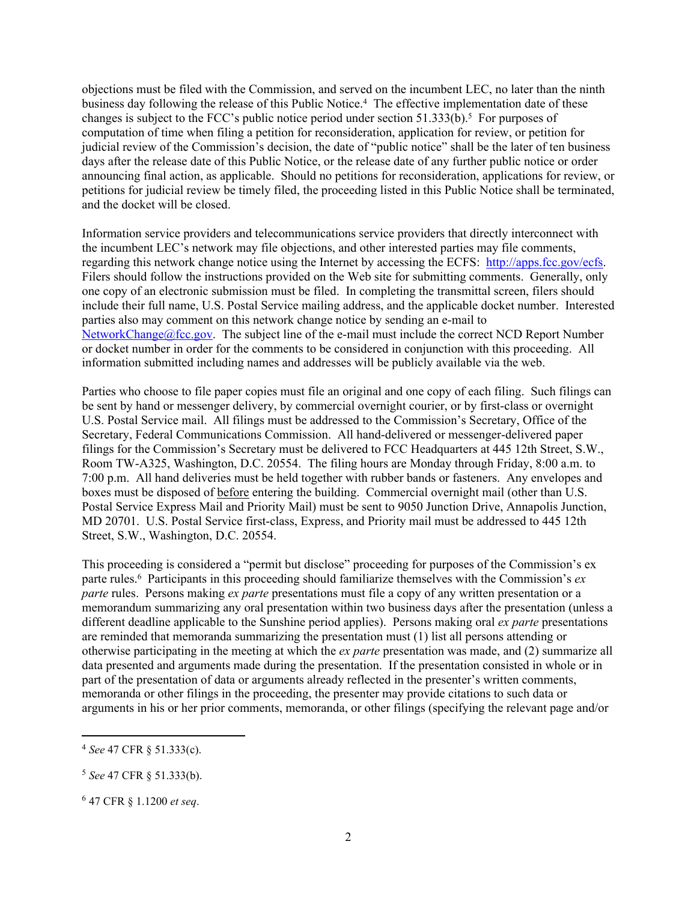objections must be filed with the Commission, and served on the incumbent LEC, no later than the ninth business day following the release of this Public Notice.<sup>4</sup> The effective implementation date of these changes is subject to the FCC's public notice period under section  $51.333(b)$ .<sup>5</sup> For purposes of computation of time when filing a petition for reconsideration, application for review, or petition for judicial review of the Commission's decision, the date of "public notice" shall be the later of ten business days after the release date of this Public Notice, or the release date of any further public notice or order announcing final action, as applicable. Should no petitions for reconsideration, applications for review, or petitions for judicial review be timely filed, the proceeding listed in this Public Notice shall be terminated, and the docket will be closed.

Information service providers and telecommunications service providers that directly interconnect with the incumbent LEC's network may file objections, and other interested parties may file comments, regarding this network change notice using the Internet by accessing the ECFS: [http://apps.fcc.gov/ecfs.](http://apps.fcc.gov/ecfs) Filers should follow the instructions provided on the Web site for submitting comments. Generally, only one copy of an electronic submission must be filed. In completing the transmittal screen, filers should include their full name, U.S. Postal Service mailing address, and the applicable docket number. Interested parties also may comment on this network change notice by sending an e-mail to [NetworkChange@fcc.gov.](mailto:NetworkChange@fcc.gov) The subject line of the e-mail must include the correct NCD Report Number or docket number in order for the comments to be considered in conjunction with this proceeding. All information submitted including names and addresses will be publicly available via the web.

Parties who choose to file paper copies must file an original and one copy of each filing. Such filings can be sent by hand or messenger delivery, by commercial overnight courier, or by first-class or overnight U.S. Postal Service mail. All filings must be addressed to the Commission's Secretary, Office of the Secretary, Federal Communications Commission. All hand-delivered or messenger-delivered paper filings for the Commission's Secretary must be delivered to FCC Headquarters at 445 12th Street, S.W., Room TW-A325, Washington, D.C. 20554. The filing hours are Monday through Friday, 8:00 a.m. to 7:00 p.m. All hand deliveries must be held together with rubber bands or fasteners. Any envelopes and boxes must be disposed of before entering the building. Commercial overnight mail (other than U.S. Postal Service Express Mail and Priority Mail) must be sent to 9050 Junction Drive, Annapolis Junction, MD 20701. U.S. Postal Service first-class, Express, and Priority mail must be addressed to 445 12th Street, S.W., Washington, D.C. 20554.

This proceeding is considered a "permit but disclose" proceeding for purposes of the Commission's ex parte rules.<sup>6</sup> Participants in this proceeding should familiarize themselves with the Commission's *ex parte* rules. Persons making *ex parte* presentations must file a copy of any written presentation or a memorandum summarizing any oral presentation within two business days after the presentation (unless a different deadline applicable to the Sunshine period applies). Persons making oral *ex parte* presentations are reminded that memoranda summarizing the presentation must (1) list all persons attending or otherwise participating in the meeting at which the *ex parte* presentation was made, and (2) summarize all data presented and arguments made during the presentation. If the presentation consisted in whole or in part of the presentation of data or arguments already reflected in the presenter's written comments, memoranda or other filings in the proceeding, the presenter may provide citations to such data or arguments in his or her prior comments, memoranda, or other filings (specifying the relevant page and/or

<sup>4</sup> *See* 47 CFR § 51.333(c).

<sup>5</sup> *See* 47 CFR § 51.333(b).

<sup>6</sup> 47 CFR § 1.1200 *et seq*.